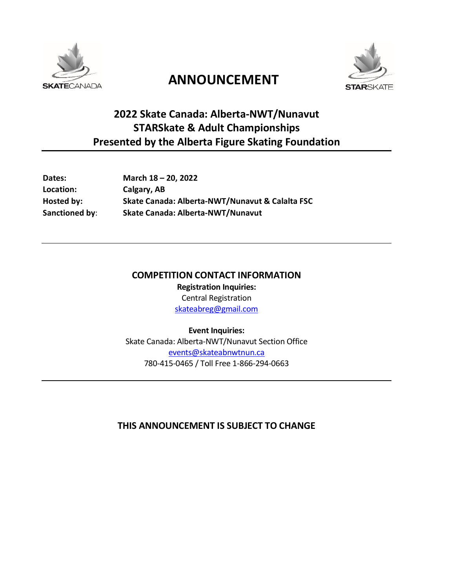

# **ANNOUNCEMENT**



# **2022 Skate Canada: Alberta-NWT/Nunavut STARSkate & Adult Championships Presented by the Alberta Figure Skating Foundation**

| <b>Dates:</b>    | March 18 - 20, 2022                             |  |
|------------------|-------------------------------------------------|--|
| <b>Location:</b> | Calgary, AB                                     |  |
| Hosted by:       | Skate Canada: Alberta-NWT/Nunavut & Calalta FSC |  |
| Sanctioned by:   | Skate Canada: Alberta-NWT/Nunavut               |  |
|                  |                                                 |  |

# **COMPETITION CONTACT INFORMATION**

**Registration Inquiries:** Central Registration [skateabreg@gmail.com](mailto:skateabreg@gmail.com)

**Event Inquiries:** Skate Canada: Alberta-NWT/Nunavut Section Office [events@skateabnwtnun.ca](mailto:events@skateabnwtnun.ca) 780-415-0465 / Toll Free 1-866-294-0663

# **THIS ANNOUNCEMENT IS SUBJECT TO CHANGE**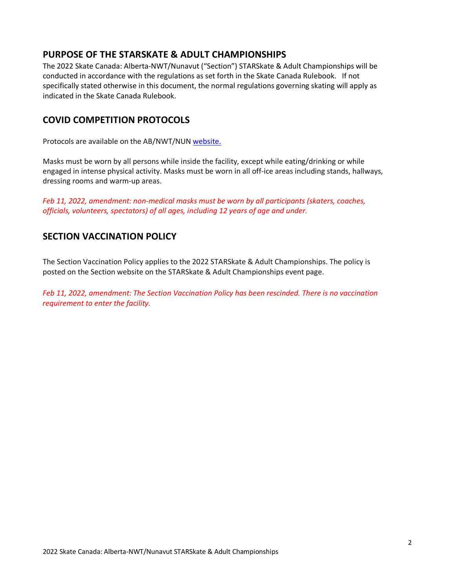# **PURPOSE OF THE STARSKATE & ADULT CHAMPIONSHIPS**

The 2022 Skate Canada: Alberta-NWT/Nunavut ("Section") STARSkate & Adult Championships will be conducted in accordance with the regulations as set forth in the Skate Canada Rulebook. If not specifically stated otherwise in this document, the normal regulations governing skating will apply as indicated in the Skate Canada Rulebook.

# **COVID COMPETITION PROTOCOLS**

Protocols are available on the AB/NWT/NUN [website.](https://skateabnwtnun.ca/covid-19-2/)

Masks must be worn by all persons while inside the facility, except while eating/drinking or while engaged in intense physical activity. Masks must be worn in all off-ice areas including stands, hallways, dressing rooms and warm-up areas.

*Feb 11, 2022, amendment: non-medical masks must be worn by all participants (skaters, coaches, officials, volunteers, spectators) of all ages, including 12 years of age and under.*

# **SECTION VACCINATION POLICY**

The Section Vaccination Policy applies to the 2022 STARSkate & Adult Championships. The policy is posted on the Section website on the STARSkate & Adult Championships event page.

*Feb 11, 2022, amendment: The Section Vaccination Policy has been rescinded. There is no vaccination requirement to enter the facility.*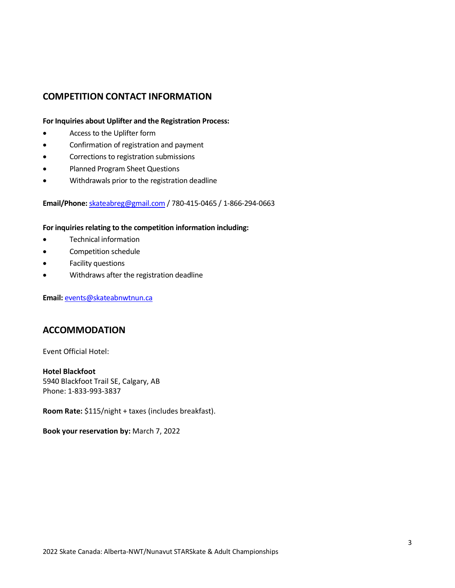## **COMPETITION CONTACT INFORMATION**

### **For Inquiries about Uplifter and the Registration Process:**

- Access to the Uplifter form
- Confirmation of registration and payment
- Corrections to registration submissions
- Planned Program Sheet Questions
- Withdrawals prior to the registration deadline

### **Email/Phone:** [skateabreg@gmail.com](mailto:skateabreg@gmail.com) / 780-415-0465 / 1-866-294-0663

#### **For inquiries relating to the competition information including:**

- Technical information
- Competition schedule
- Facility questions
- Withdraws after the registration deadline

**Email:** [events@skateabnwtnun.ca](mailto:events@skateabnwtnun.ca)

### **ACCOMMODATION**

Event Official Hotel:

**Hotel Blackfoot** 5940 Blackfoot Trail SE, Calgary, AB Phone: 1-833-993-3837

**Room Rate:** \$115/night + taxes (includes breakfast).

**Book your reservation by:** March 7, 2022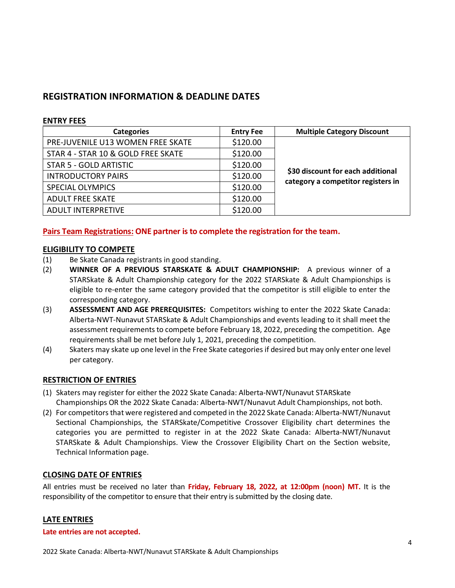# **REGISTRATION INFORMATION & DEADLINE DATES**

### **ENTRY FEES**

| <b>Categories</b>                  | <b>Entry Fee</b> | <b>Multiple Category Discount</b>                                       |
|------------------------------------|------------------|-------------------------------------------------------------------------|
| PRE-JUVENILE U13 WOMEN FREE SKATE  | \$120.00         | \$30 discount for each additional<br>category a competitor registers in |
| STAR 4 - STAR 10 & GOLD FREE SKATE | \$120.00         |                                                                         |
| STAR 5 - GOLD ARTISTIC             | \$120.00         |                                                                         |
| <b>INTRODUCTORY PAIRS</b>          | \$120.00         |                                                                         |
| <b>SPECIAL OLYMPICS</b>            | \$120.00         |                                                                         |
| <b>ADULT FREE SKATE</b>            | \$120.00         |                                                                         |
| <b>ADULT INTERPRETIVE</b>          | \$120.00         |                                                                         |

### **Pairs Team Registrations: ONE partner is to complete the registration for the team.**

### **ELIGIBILITY TO COMPETE**

- (1) Be Skate Canada registrants in good standing.
- (2) **WINNER OF A PREVIOUS STARSKATE & ADULT CHAMPIONSHIP:** A previous winner of a STARSkate & Adult Championship category for the 2022 STARSkate & Adult Championships is eligible to re-enter the same category provided that the competitor is still eligible to enter the corresponding category.
- (3) **ASSESSMENT AND AGE PREREQUISITES:** Competitors wishing to enter the 2022 Skate Canada: Alberta-NWT-Nunavut STARSkate & Adult Championships and events leading to it shall meet the assessment requirements to compete before February 18, 2022, preceding the competition. Age requirements shall be met before July 1, 2021, preceding the competition.
- (4) Skaters may skate up one level in the Free Skate categories if desired but may only enter one level per category.

### **RESTRICTION OF ENTRIES**

- (1) Skaters may register for either the 2022 Skate Canada: Alberta-NWT/Nunavut STARSkate Championships OR the 2022 Skate Canada: Alberta-NWT/Nunavut Adult Championships, not both.
- (2) For competitors that were registered and competed in the 2022 Skate Canada: Alberta-NWT/Nunavut Sectional Championships, the STARSkate/Competitive Crossover Eligibility chart determines the categories you are permitted to register in at the 2022 Skate Canada: Alberta-NWT/Nunavut STARSkate & Adult Championships. View the Crossover Eligibility Chart on the Section website, Technical Information page.

### **CLOSING DATE OF ENTRIES**

All entries must be received no later than **Friday, February 18, 2022, at 12:00pm (noon) MT.** It is the responsibility of the competitor to ensure that their entry is submitted by the closing date.

### **LATE ENTRIES**

### **Late entries are not accepted.**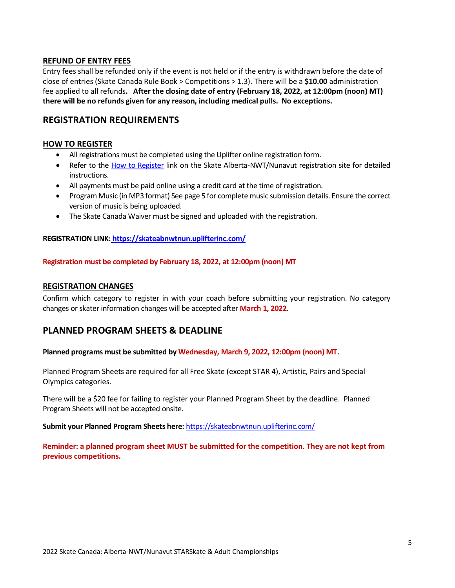### **REFUND OF ENTRY FEES**

Entry fees shall be refunded only if the event is not held or if the entry is withdrawn before the date of close of entries (Skate Canada Rule Book > Competitions > 1.3). There will be a **\$10.00** administration fee applied to all refunds**. After the closing date of entry (February 18, 2022, at 12:00pm (noon) MT) there will be no refunds given for any reason, including medical pulls. No exceptions.**

### **REGISTRATION REQUIREMENTS**

### **HOW TO REGISTER**

- All registrations must be completed using the Uplifter online registration form.
- Refer to the [How to Register](https://skateabnwtnun.uplifterinc.com/pages/How-to-Register/) link on the Skate Alberta-NWT/Nunavut registration site for detailed instructions.
- All payments must be paid online using a credit card at the time of registration.
- Program Music (in MP3 format) See page 5 for complete music submission details. Ensure the correct version of music is being uploaded.
- The Skate Canada Waiver must be signed and uploaded with the registration.

### **REGISTRATION LINK: <https://skateabnwtnun.uplifterinc.com/>**

### **Registration must be completed by February 18, 2022, at 12:00pm (noon) MT**

### **REGISTRATION CHANGES**

Confirm which category to register in with your coach before submitting your registration. No category changes or skater information changes will be accepted after **March 1, 2022**.

### **PLANNED PROGRAM SHEETS & DEADLINE**

**Planned programs must be submitted by Wednesday, March 9, 2022, 12:00pm (noon) MT.** 

Planned Program Sheets are required for all Free Skate (except STAR 4), Artistic, Pairs and Special Olympics categories.

There will be a \$20 fee for failing to register your Planned Program Sheet by the deadline. Planned Program Sheets will not be accepted onsite.

**Submit your Planned Program Sheets here:** <https://skateabnwtnun.uplifterinc.com/>

**Reminder: a planned program sheet MUST be submitted for the competition. They are not kept from previous competitions.**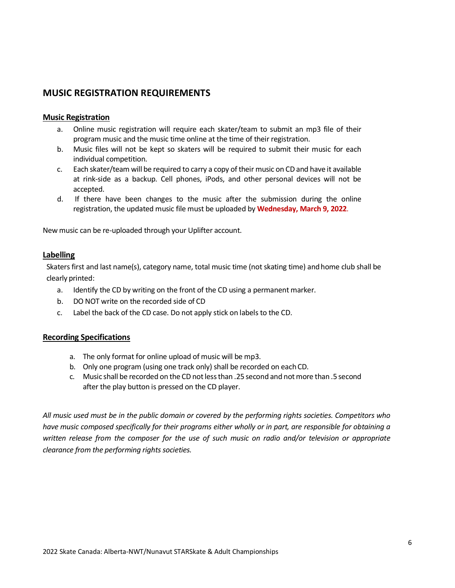### **MUSIC REGISTRATION REQUIREMENTS**

### **Music Registration**

- a. Online music registration will require each skater/team to submit an mp3 file of their program music and the music time online at the time of their registration.
- b. Music files will not be kept so skaters will be required to submit their music for each individual competition.
- c. Each skater/team will be required to carry a copy of their music on CD and have it available at rink-side as a backup. Cell phones, iPods, and other personal devices will not be accepted.
- d. If there have been changes to the music after the submission during the online registration, the updated music file must be uploaded by **Wednesday, March 9, 2022**.

New music can be re-uploaded through your Uplifter account.

### **Labelling**

Skaters first and last name(s), category name, total music time (not skating time) and home club shall be clearly printed:

- a. Identify the CD by writing on the front of the CD using a permanent marker.
- b. DO NOT write on the recorded side of CD
- c. Label the back of the CD case. Do not apply stick on labels to the CD.

#### **Recording Specifications**

- a. The only format for online upload of music will be mp3.
- b. Only one program (using one track only) shall be recorded on each CD.
- c. Music shall be recorded on the CD not less than .25 second and not more than .5 second after the play button is pressed on the CD player.

*All music used must be in the public domain or covered by the performing rights societies. Competitors who have music composed specifically for their programs either wholly or in part, are responsible for obtaining a written release from the composer for the use of such music on radio and/or television or appropriate clearance from the performing rights societies.*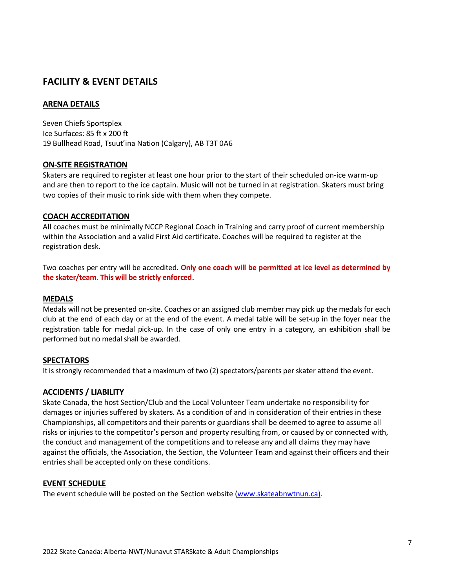# **FACILITY & EVENT DETAILS**

### **ARENA DETAILS**

Seven Chiefs Sportsplex Ice Surfaces: 85 ft x 200 ft 19 Bullhead Road, Tsuut'ina Nation (Calgary), AB T3T 0A6

### **ON-SITE REGISTRATION**

Skaters are required to register at least one hour prior to the start of their scheduled on-ice warm-up and are then to report to the ice captain. Music will not be turned in at registration. Skaters must bring two copies of their music to rink side with them when they compete.

### **COACH ACCREDITATION**

All coaches must be minimally NCCP Regional Coach in Training and carry proof of current membership within the Association and a valid First Aid certificate. Coaches will be required to register at the registration desk.

Two coaches per entry will be accredited. **Only one coach will be permitted at ice level as determined by the skater/team. This will be strictly enforced.** 

#### **MEDALS**

Medals will not be presented on-site. Coaches or an assigned club member may pick up the medals for each club at the end of each day or at the end of the event. A medal table will be set-up in the foyer near the registration table for medal pick-up. In the case of only one entry in a category, an exhibition shall be performed but no medal shall be awarded.

### **SPECTATORS**

It is strongly recommended that a maximum of two (2) spectators/parents per skater attend the event.

### **ACCIDENTS / LIABILITY**

Skate Canada, the host Section/Club and the Local Volunteer Team undertake no responsibility for damages or injuries suffered by skaters. As a condition of and in consideration of their entries in these Championships, all competitors and their parents or guardians shall be deemed to agree to assume all risks or injuries to the competitor's person and property resulting from, or caused by or connected with, the conduct and management of the competitions and to release any and all claims they may have against the officials, the Association, the Section, the Volunteer Team and against their officers and their entries shall be accepted only on these conditions.

#### **EVENT SCHEDULE**

The event schedule will be posted on the Section website [\(www.skateabnwtnun.ca\)](http://www.skateabnwtnun.ca/).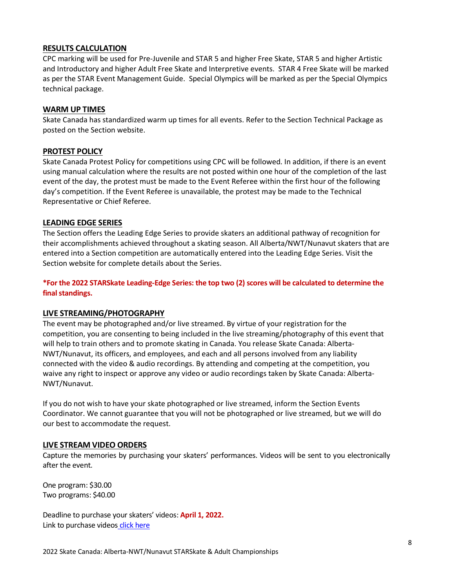### **RESULTS CALCULATION**

CPC marking will be used for Pre-Juvenile and STAR 5 and higher Free Skate, STAR 5 and higher Artistic and Introductory and higher Adult Free Skate and Interpretive events. STAR 4 Free Skate will be marked as per the STAR Event Management Guide. Special Olympics will be marked as per the Special Olympics technical package.

### **WARM UP TIMES**

Skate Canada has standardized warm up times for all events. Refer to the Section Technical Package as posted on the Section website.

### **PROTEST POLICY**

Skate Canada Protest Policy for competitions using CPC will be followed. In addition, if there is an event using manual calculation where the results are not posted within one hour of the completion of the last event of the day, the protest must be made to the Event Referee within the first hour of the following day's competition. If the Event Referee is unavailable, the protest may be made to the Technical Representative or Chief Referee.

### **LEADING EDGE SERIES**

The Section offers the Leading Edge Series to provide skaters an additional pathway of recognition for their accomplishments achieved throughout a skating season. All Alberta/NWT/Nunavut skaters that are entered into a Section competition are automatically entered into the Leading Edge Series. Visit the Section website for complete details about the Series.

**\*For the 2022 STARSkate Leading-Edge Series: the top two (2) scores will be calculated to determine the final standings.** 

### **LIVE STREAMING/PHOTOGRAPHY**

The event may be photographed and/or live streamed. By virtue of your registration for the competition, you are consenting to being included in the live streaming/photography of this event that will help to train others and to promote skating in Canada. You release Skate Canada: Alberta-NWT/Nunavut, its officers, and employees, and each and all persons involved from any liability connected with the video & audio recordings. By attending and competing at the competition, you waive any right to inspect or approve any video or audio recordings taken by Skate Canada: Alberta-NWT/Nunavut.

If you do not wish to have your skate photographed or live streamed, inform the Section Events Coordinator. We cannot guarantee that you will not be photographed or live streamed, but we will do our best to accommodate the request.

### **LIVE STREAM VIDEO ORDERS**

Capture the memories by purchasing your skaters' performances. Videos will be sent to you electronically after the event.

One program: \$30.00 Two programs: \$40.00

Deadline to purchase your skaters' videos: **April 1, 2022.** Link to purchase videos [click here](https://skatecanada.wufoo.com/forms/q17wbc9b1mb2aip/)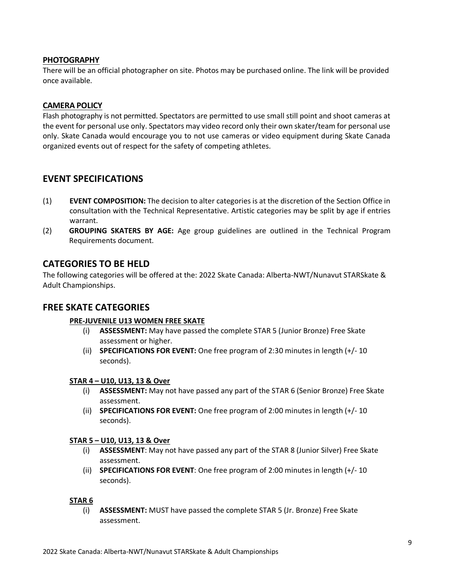### **PHOTOGRAPHY**

There will be an official photographer on site. Photos may be purchased online. The link will be provided once available.

### **CAMERA POLICY**

Flash photography is not permitted. Spectators are permitted to use small still point and shoot cameras at the event for personal use only. Spectators may video record only their own skater/team for personal use only. Skate Canada would encourage you to not use cameras or video equipment during Skate Canada organized events out of respect for the safety of competing athletes.

### **EVENT SPECIFICATIONS**

- (1) **EVENT COMPOSITION:** The decision to alter categories is at the discretion of the Section Office in consultation with the Technical Representative. Artistic categories may be split by age if entries warrant.
- (2) **GROUPING SKATERS BY AGE:** Age group guidelines are outlined in the Technical Program Requirements document.

### **CATEGORIES TO BE HELD**

The following categories will be offered at the: 2022 Skate Canada: Alberta-NWT/Nunavut STARSkate & Adult Championships.

### **FREE SKATE CATEGORIES**

### **PRE-JUVENILE U13 WOMEN FREE SKATE**

- (i) **ASSESSMENT:** May have passed the complete STAR 5 (Junior Bronze) Free Skate assessment or higher.
- (ii) **SPECIFICATIONS FOR EVENT:** One free program of 2:30 minutes in length (+/- 10 seconds).

### **STAR 4 – U10, U13, 13 & Over**

- (i) **ASSESSMENT:** May not have passed any part of the STAR 6 (Senior Bronze) Free Skate assessment.
- (ii) **SPECIFICATIONS FOR EVENT:** One free program of 2:00 minutes in length (+/- 10 seconds).

#### **STAR 5 – U10, U13, 13 & Over**

- (i) **ASSESSMENT**: May not have passed any part of the STAR 8 (Junior Silver) Free Skate assessment.
- (ii) **SPECIFICATIONS FOR EVENT**: One free program of 2:00 minutes in length (+/- 10 seconds).

#### **STAR 6**

(i) **ASSESSMENT:** MUST have passed the complete STAR 5 (Jr. Bronze) Free Skate assessment.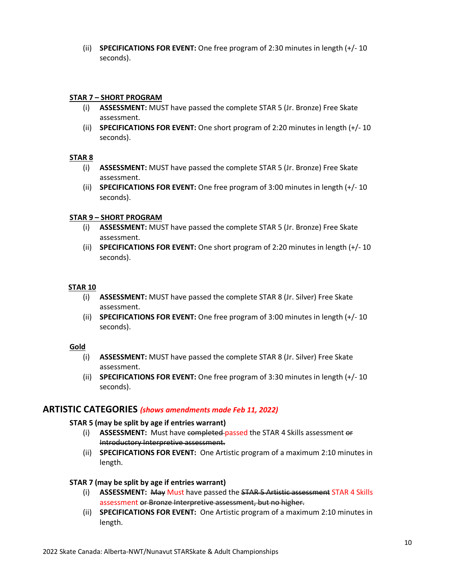(ii) **SPECIFICATIONS FOR EVENT:** One free program of 2:30 minutes in length (+/- 10 seconds).

### **STAR 7 – SHORT PROGRAM**

- (i) **ASSESSMENT:** MUST have passed the complete STAR 5 (Jr. Bronze) Free Skate assessment.
- (ii) **SPECIFICATIONS FOR EVENT:** One short program of 2:20 minutes in length (+/- 10 seconds).

### **STAR 8**

- (i) **ASSESSMENT:** MUST have passed the complete STAR 5 (Jr. Bronze) Free Skate assessment.
- (ii) **SPECIFICATIONS FOR EVENT:** One free program of 3:00 minutes in length (+/- 10 seconds).

### **STAR 9 – SHORT PROGRAM**

- (i) **ASSESSMENT:** MUST have passed the complete STAR 5 (Jr. Bronze) Free Skate assessment.
- (ii) **SPECIFICATIONS FOR EVENT:** One short program of 2:20 minutes in length (+/- 10 seconds).

### **STAR 10**

- (i) **ASSESSMENT:** MUST have passed the complete STAR 8 (Jr. Silver) Free Skate assessment.
- (ii) **SPECIFICATIONS FOR EVENT:** One free program of 3:00 minutes in length (+/- 10 seconds).

#### **Gold**

- (i) **ASSESSMENT:** MUST have passed the complete STAR 8 (Jr. Silver) Free Skate assessment.
- (ii) **SPECIFICATIONS FOR EVENT:** One free program of 3:30 minutes in length (+/- 10 seconds).

### **ARTISTIC CATEGORIES** *(shows amendments made Feb 11, 2022)*

### **STAR 5 (may be split by age if entries warrant)**

- (i) **ASSESSMENT:** Must have completed passed the STAR 4 Skills assessment or Introductory Interpretive assessment.
- (ii) **SPECIFICATIONS FOR EVENT:** One Artistic program of a maximum 2:10 minutes in length.

### **STAR 7 (may be split by age if entries warrant)**

- (i) **ASSESSMENT:** May Must have passed the STAR 5 Artistic assessment STAR 4 Skills assessment or Bronze Interpretive assessment, but no higher.
- (ii) **SPECIFICATIONS FOR EVENT:** One Artistic program of a maximum 2:10 minutes in length.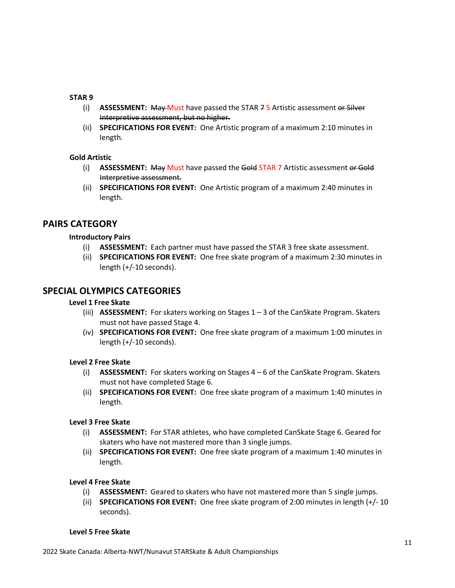### **STAR 9**

- (i) **ASSESSMENT:** May Must have passed the STAR 7 5 Artistic assessment or Silver Interpretive assessment, but no higher.
- (ii) **SPECIFICATIONS FOR EVENT:** One Artistic program of a maximum 2:10 minutes in length.

### **Gold Artistic**

- (i) **ASSESSMENT:** May Must have passed the Gold STAR 7 Artistic assessment or Gold Interpretive assessment.
- (ii) **SPECIFICATIONS FOR EVENT:** One Artistic program of a maximum 2:40 minutes in length.

### **PAIRS CATEGORY**

### **Introductory Pairs**

- (i) **ASSESSMENT:** Each partner must have passed the STAR 3 free skate assessment.
- (ii) **SPECIFICATIONS FOR EVENT:** One free skate program of a maximum 2:30 minutes in length (+/-10 seconds).

### **SPECIAL OLYMPICS CATEGORIES**

### **Level 1 Free Skate**

- (iii) **ASSESSMENT:** For skaters working on Stages 1 3 of the CanSkate Program. Skaters must not have passed Stage 4.
- (iv) **SPECIFICATIONS FOR EVENT:** One free skate program of a maximum 1:00 minutes in length (+/-10 seconds).

### **Level 2 Free Skate**

- (i) **ASSESSMENT:** For skaters working on Stages 4 6 of the CanSkate Program. Skaters must not have completed Stage 6.
- (ii) **SPECIFICATIONS FOR EVENT:** One free skate program of a maximum 1:40 minutes in length.

### **Level 3 Free Skate**

- (i) **ASSESSMENT:** For STAR athletes, who have completed CanSkate Stage 6. Geared for skaters who have not mastered more than 3 single jumps.
- (ii) **SPECIFICATIONS FOR EVENT:** One free skate program of a maximum 1:40 minutes in length.

### **Level 4 Free Skate**

- (i) **ASSESSMENT:** Geared to skaters who have not mastered more than 5 single jumps.
- (ii) **SPECIFICATIONS FOR EVENT:** One free skate program of 2:00 minutes in length (+/- 10 seconds).

### **Level 5 Free Skate**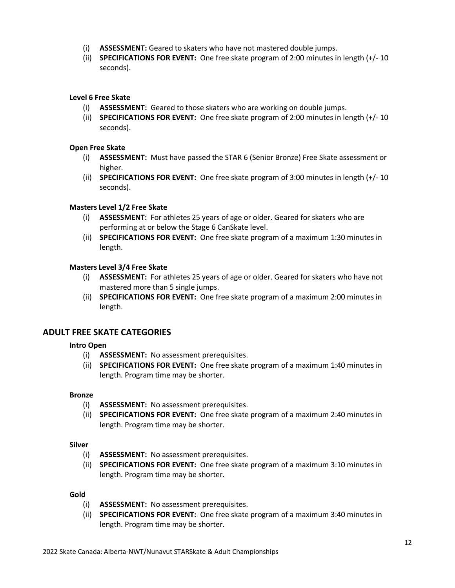- (i) **ASSESSMENT:** Geared to skaters who have not mastered double jumps.
- (ii) **SPECIFICATIONS FOR EVENT:** One free skate program of 2:00 minutes in length (+/- 10 seconds).

### **Level 6 Free Skate**

- (i) **ASSESSMENT:** Geared to those skaters who are working on double jumps.
- (ii) **SPECIFICATIONS FOR EVENT:** One free skate program of 2:00 minutes in length (+/- 10 seconds).

### **Open Free Skate**

- (i) **ASSESSMENT:** Must have passed the STAR 6 (Senior Bronze) Free Skate assessment or higher.
- (ii) **SPECIFICATIONS FOR EVENT:** One free skate program of 3:00 minutes in length (+/- 10 seconds).

### **Masters Level 1/2 Free Skate**

- (i) **ASSESSMENT:** For athletes 25 years of age or older. Geared for skaters who are performing at or below the Stage 6 CanSkate level.
- (ii) **SPECIFICATIONS FOR EVENT:** One free skate program of a maximum 1:30 minutes in length.

### **Masters Level 3/4 Free Skate**

- (i) **ASSESSMENT:** For athletes 25 years of age or older. Geared for skaters who have not mastered more than 5 single jumps.
- (ii) **SPECIFICATIONS FOR EVENT:** One free skate program of a maximum 2:00 minutes in length.

### **ADULT FREE SKATE CATEGORIES**

### **Intro Open**

- (i) **ASSESSMENT:** No assessment prerequisites.
- (ii) **SPECIFICATIONS FOR EVENT:** One free skate program of a maximum 1:40 minutes in length. Program time may be shorter.

#### **Bronze**

- (i) **ASSESSMENT:** No assessment prerequisites.
- (ii) **SPECIFICATIONS FOR EVENT:** One free skate program of a maximum 2:40 minutes in length. Program time may be shorter.

#### **Silver**

- (i) **ASSESSMENT:** No assessment prerequisites.
- (ii) **SPECIFICATIONS FOR EVENT:** One free skate program of a maximum 3:10 minutes in length. Program time may be shorter.

#### **Gold**

- (i) **ASSESSMENT:** No assessment prerequisites.
- (ii) **SPECIFICATIONS FOR EVENT:** One free skate program of a maximum 3:40 minutes in length. Program time may be shorter.